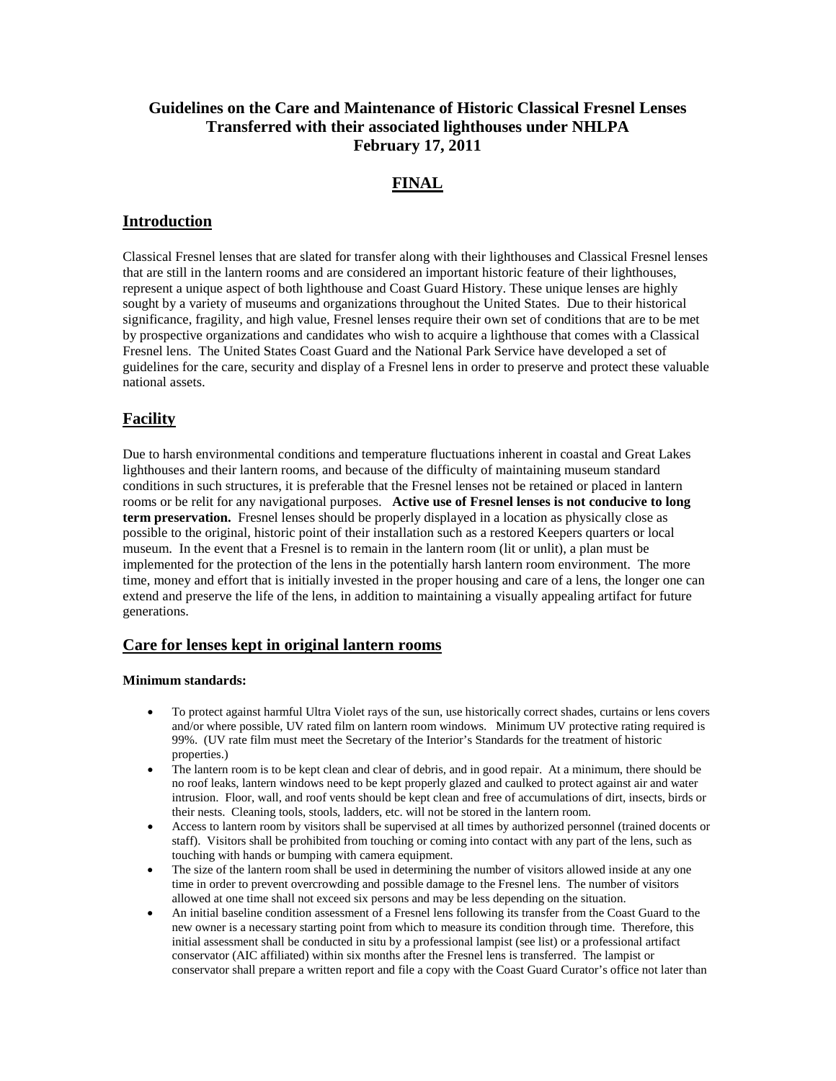# **Guidelines on the Care and Maintenance of Historic Classical Fresnel Lenses Transferred with their associated lighthouses under NHLPA February 17, 2011**

## **FINAL**

### **Introduction**

Classical Fresnel lenses that are slated for transfer along with their lighthouses and Classical Fresnel lenses that are still in the lantern rooms and are considered an important historic feature of their lighthouses, represent a unique aspect of both lighthouse and Coast Guard History. These unique lenses are highly sought by a variety of museums and organizations throughout the United States. Due to their historical significance, fragility, and high value, Fresnel lenses require their own set of conditions that are to be met by prospective organizations and candidates who wish to acquire a lighthouse that comes with a Classical Fresnel lens. The United States Coast Guard and the National Park Service have developed a set of guidelines for the care, security and display of a Fresnel lens in order to preserve and protect these valuable national assets.

# **Facility**

Due to harsh environmental conditions and temperature fluctuations inherent in coastal and Great Lakes lighthouses and their lantern rooms, and because of the difficulty of maintaining museum standard conditions in such structures, it is preferable that the Fresnel lenses not be retained or placed in lantern rooms or be relit for any navigational purposes. **Active use of Fresnel lenses is not conducive to long term preservation.** Fresnel lenses should be properly displayed in a location as physically close as possible to the original, historic point of their installation such as a restored Keepers quarters or local museum. In the event that a Fresnel is to remain in the lantern room (lit or unlit), a plan must be implemented for the protection of the lens in the potentially harsh lantern room environment. The more time, money and effort that is initially invested in the proper housing and care of a lens, the longer one can extend and preserve the life of the lens, in addition to maintaining a visually appealing artifact for future generations.

### **Care for lenses kept in original lantern rooms**

#### **Minimum standards:**

- To protect against harmful Ultra Violet rays of the sun, use historically correct shades, curtains or lens covers and/or where possible, UV rated film on lantern room windows. Minimum UV protective rating required is 99%. (UV rate film must meet the Secretary of the Interior's Standards for the treatment of historic properties.)
- The lantern room is to be kept clean and clear of debris, and in good repair. At a minimum, there should be no roof leaks, lantern windows need to be kept properly glazed and caulked to protect against air and water intrusion. Floor, wall, and roof vents should be kept clean and free of accumulations of dirt, insects, birds or their nests. Cleaning tools, stools, ladders, etc. will not be stored in the lantern room.
- Access to lantern room by visitors shall be supervised at all times by authorized personnel (trained docents or staff). Visitors shall be prohibited from touching or coming into contact with any part of the lens, such as touching with hands or bumping with camera equipment.
- The size of the lantern room shall be used in determining the number of visitors allowed inside at any one time in order to prevent overcrowding and possible damage to the Fresnel lens. The number of visitors allowed at one time shall not exceed six persons and may be less depending on the situation.
- An initial baseline condition assessment of a Fresnel lens following its transfer from the Coast Guard to the new owner is a necessary starting point from which to measure its condition through time. Therefore, this initial assessment shall be conducted in situ by a professional lampist (see list) or a professional artifact conservator (AIC affiliated) within six months after the Fresnel lens is transferred. The lampist or conservator shall prepare a written report and file a copy with the Coast Guard Curator's office not later than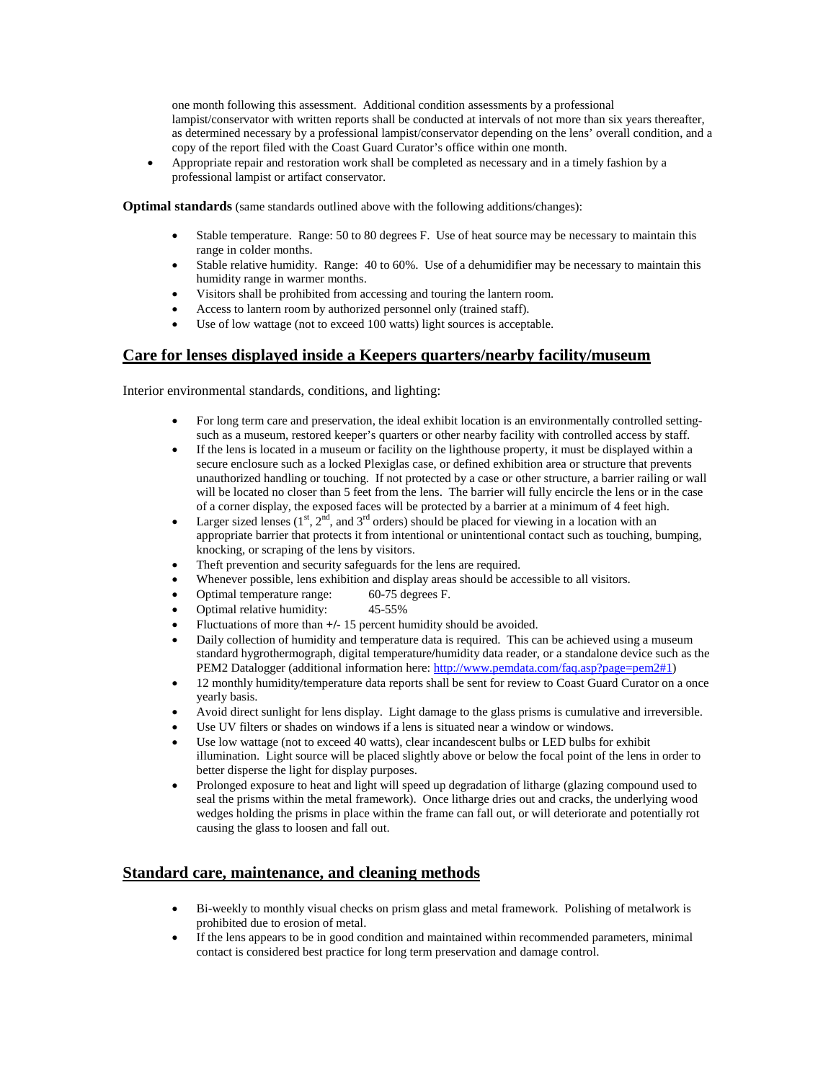one month following this assessment. Additional condition assessments by a professional lampist/conservator with written reports shall be conducted at intervals of not more than six years thereafter, as determined necessary by a professional lampist/conservator depending on the lens' overall condition, and a copy of the report filed with the Coast Guard Curator's office within one month.

• Appropriate repair and restoration work shall be completed as necessary and in a timely fashion by a professional lampist or artifact conservator.

**Optimal standards** (same standards outlined above with the following additions/changes):

- Stable temperature. Range: 50 to 80 degrees F. Use of heat source may be necessary to maintain this range in colder months.
- Stable relative humidity. Range: 40 to 60%. Use of a dehumidifier may be necessary to maintain this humidity range in warmer months.
- Visitors shall be prohibited from accessing and touring the lantern room.
- Access to lantern room by authorized personnel only (trained staff).
- Use of low wattage (not to exceed 100 watts) light sources is acceptable.

### **Care for lenses displayed inside a Keepers quarters/nearby facility/museum**

Interior environmental standards, conditions, and lighting:

- For long term care and preservation, the ideal exhibit location is an environmentally controlled settingsuch as a museum, restored keeper's quarters or other nearby facility with controlled access by staff.
- If the lens is located in a museum or facility on the lighthouse property, it must be displayed within a secure enclosure such as a locked Plexiglas case, or defined exhibition area or structure that prevents unauthorized handling or touching. If not protected by a case or other structure, a barrier railing or wall will be located no closer than 5 feet from the lens. The barrier will fully encircle the lens or in the case of a corner display, the exposed faces will be protected by a barrier at a minimum of 4 feet high.
- Larger sized lenses ( $1<sup>st</sup>$ ,  $2<sup>nd</sup>$ , and  $3<sup>rd</sup>$  orders) should be placed for viewing in a location with an appropriate barrier that protects it from intentional or unintentional contact such as touching, bumping, knocking, or scraping of the lens by visitors.
- Theft prevention and security safeguards for the lens are required.
- Whenever possible, lens exhibition and display areas should be accessible to all visitors.
- Optimal temperature range: 60-75 degrees F.
- Optimal relative humidity: 45-55%
- Fluctuations of more than **+/-** 15 percent humidity should be avoided.
- Daily collection of humidity and temperature data is required. This can be achieved using a museum standard hygrothermograph, digital temperature**/**humidity data reader, or a standalone device such as the PEM2 Datalogger (additional information here[: http://www.pemdata.com/faq.asp?page=pem2#1\)](http://www.pemdata.com/faq.asp?page=pem2#1)
- 12 monthly humidity**/**temperature data reports shall be sent for review to Coast Guard Curator on a once yearly basis.
- Avoid direct sunlight for lens display. Light damage to the glass prisms is cumulative and irreversible.
- Use UV filters or shades on windows if a lens is situated near a window or windows.
- Use low wattage (not to exceed 40 watts), clear incandescent bulbs or LED bulbs for exhibit illumination. Light source will be placed slightly above or below the focal point of the lens in order to better disperse the light for display purposes.
- Prolonged exposure to heat and light will speed up degradation of litharge (glazing compound used to seal the prisms within the metal framework). Once litharge dries out and cracks, the underlying wood wedges holding the prisms in place within the frame can fall out, or will deteriorate and potentially rot causing the glass to loosen and fall out.

#### **Standard care, maintenance, and cleaning methods**

- Bi-weekly to monthly visual checks on prism glass and metal framework. Polishing of metalwork is prohibited due to erosion of metal.
- If the lens appears to be in good condition and maintained within recommended parameters, minimal contact is considered best practice for long term preservation and damage control.